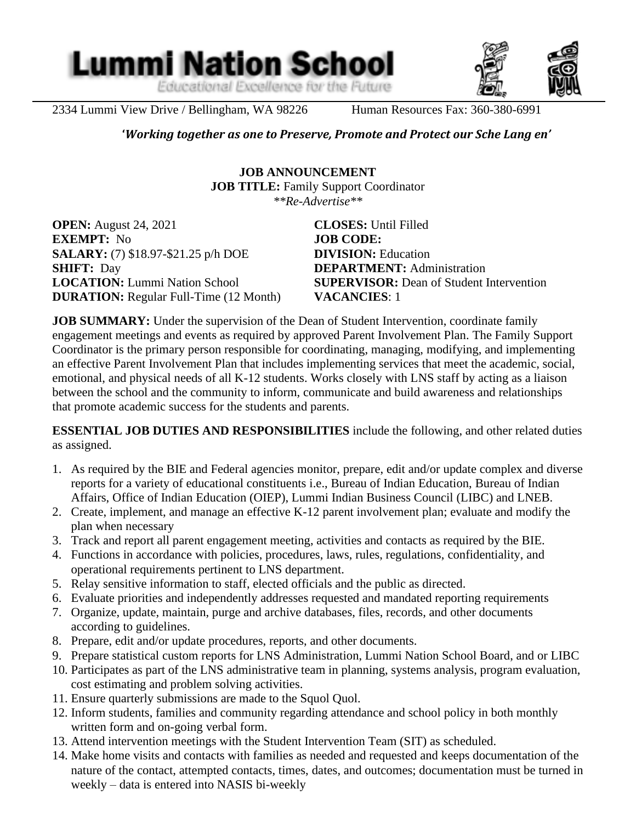**Lummi Nation School** Educational Excellence for the Future

2334 Lummi View Drive / Bellingham, WA 98226 Human Resources Fax: 360-380-6991

 $\overline{a}$ 

**'***Working together as one to Preserve, Promote and Protect our Sche Lang en'*

**JOB ANNOUNCEMENT JOB TITLE:** Family Support Coordinator *\*\*Re-Advertise\*\**

**OPEN:** August 24, 2021 **CLOSES:** Until Filled **EXEMPT:** No **JOB CODE: SALARY:** (7) \$18.97-\$21.25 p/h DOE **DIVISION:** Education **SHIFT:** Day **DEPARTMENT:** Administration **DURATION:** Regular Full-Time (12 Month) **VACANCIES**: 1

**LOCATION:** Lummi Nation School **SUPERVISOR:** Dean of Student Intervention

**JOB SUMMARY:** Under the supervision of the Dean of Student Intervention, coordinate family engagement meetings and events as required by approved Parent Involvement Plan. The Family Support Coordinator is the primary person responsible for coordinating, managing, modifying, and implementing an effective Parent Involvement Plan that includes implementing services that meet the academic, social, emotional, and physical needs of all K-12 students. Works closely with LNS staff by acting as a liaison between the school and the community to inform, communicate and build awareness and relationships that promote academic success for the students and parents.

**ESSENTIAL JOB DUTIES AND RESPONSIBILITIES** include the following, and other related duties as assigned.

- 1. As required by the BIE and Federal agencies monitor, prepare, edit and/or update complex and diverse reports for a variety of educational constituents i.e., Bureau of Indian Education, Bureau of Indian Affairs, Office of Indian Education (OIEP), Lummi Indian Business Council (LIBC) and LNEB.
- 2. Create, implement, and manage an effective K-12 parent involvement plan; evaluate and modify the plan when necessary
- 3. Track and report all parent engagement meeting, activities and contacts as required by the BIE.
- 4. Functions in accordance with policies, procedures, laws, rules, regulations, confidentiality, and operational requirements pertinent to LNS department.
- 5. Relay sensitive information to staff, elected officials and the public as directed.
- 6. Evaluate priorities and independently addresses requested and mandated reporting requirements
- 7. Organize, update, maintain, purge and archive databases, files, records, and other documents according to guidelines.
- 8. Prepare, edit and/or update procedures, reports, and other documents.
- 9. Prepare statistical custom reports for LNS Administration, Lummi Nation School Board, and or LIBC
- 10. Participates as part of the LNS administrative team in planning, systems analysis, program evaluation, cost estimating and problem solving activities.
- 11. Ensure quarterly submissions are made to the Squol Quol.
- 12. Inform students, families and community regarding attendance and school policy in both monthly written form and on-going verbal form.
- 13. Attend intervention meetings with the Student Intervention Team (SIT) as scheduled.
- 14. Make home visits and contacts with families as needed and requested and keeps documentation of the nature of the contact, attempted contacts, times, dates, and outcomes; documentation must be turned in weekly – data is entered into NASIS bi-weekly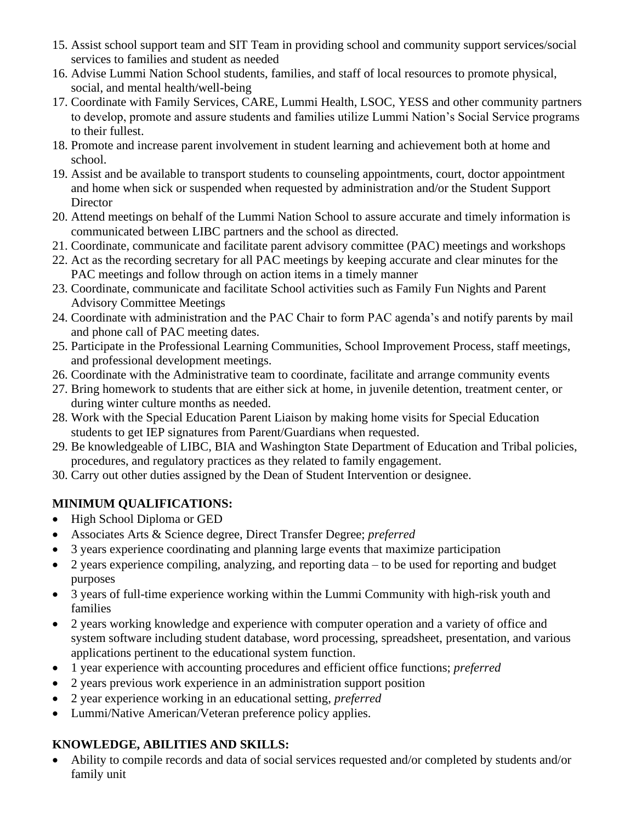- 15. Assist school support team and SIT Team in providing school and community support services/social services to families and student as needed
- 16. Advise Lummi Nation School students, families, and staff of local resources to promote physical, social, and mental health/well-being
- 17. Coordinate with Family Services, CARE, Lummi Health, LSOC, YESS and other community partners to develop, promote and assure students and families utilize Lummi Nation's Social Service programs to their fullest.
- 18. Promote and increase parent involvement in student learning and achievement both at home and school.
- 19. Assist and be available to transport students to counseling appointments, court, doctor appointment and home when sick or suspended when requested by administration and/or the Student Support **Director**
- 20. Attend meetings on behalf of the Lummi Nation School to assure accurate and timely information is communicated between LIBC partners and the school as directed.
- 21. Coordinate, communicate and facilitate parent advisory committee (PAC) meetings and workshops
- 22. Act as the recording secretary for all PAC meetings by keeping accurate and clear minutes for the PAC meetings and follow through on action items in a timely manner
- 23. Coordinate, communicate and facilitate School activities such as Family Fun Nights and Parent Advisory Committee Meetings
- 24. Coordinate with administration and the PAC Chair to form PAC agenda's and notify parents by mail and phone call of PAC meeting dates.
- 25. Participate in the Professional Learning Communities, School Improvement Process, staff meetings, and professional development meetings.
- 26. Coordinate with the Administrative team to coordinate, facilitate and arrange community events
- 27. Bring homework to students that are either sick at home, in juvenile detention, treatment center, or during winter culture months as needed.
- 28. Work with the Special Education Parent Liaison by making home visits for Special Education students to get IEP signatures from Parent/Guardians when requested.
- 29. Be knowledgeable of LIBC, BIA and Washington State Department of Education and Tribal policies, procedures, and regulatory practices as they related to family engagement.
- 30. Carry out other duties assigned by the Dean of Student Intervention or designee.

# **MINIMUM QUALIFICATIONS:**

- High School Diploma or GED
- Associates Arts & Science degree, Direct Transfer Degree; *preferred*
- 3 years experience coordinating and planning large events that maximize participation
- 2 years experience compiling, analyzing, and reporting data to be used for reporting and budget purposes
- 3 years of full-time experience working within the Lummi Community with high-risk youth and families
- 2 years working knowledge and experience with computer operation and a variety of office and system software including student database, word processing, spreadsheet, presentation, and various applications pertinent to the educational system function.
- 1 year experience with accounting procedures and efficient office functions; *preferred*
- 2 years previous work experience in an administration support position
- 2 year experience working in an educational setting, *preferred*
- Lummi/Native American/Veteran preference policy applies.

# **KNOWLEDGE, ABILITIES AND SKILLS:**

• Ability to compile records and data of social services requested and/or completed by students and/or family unit